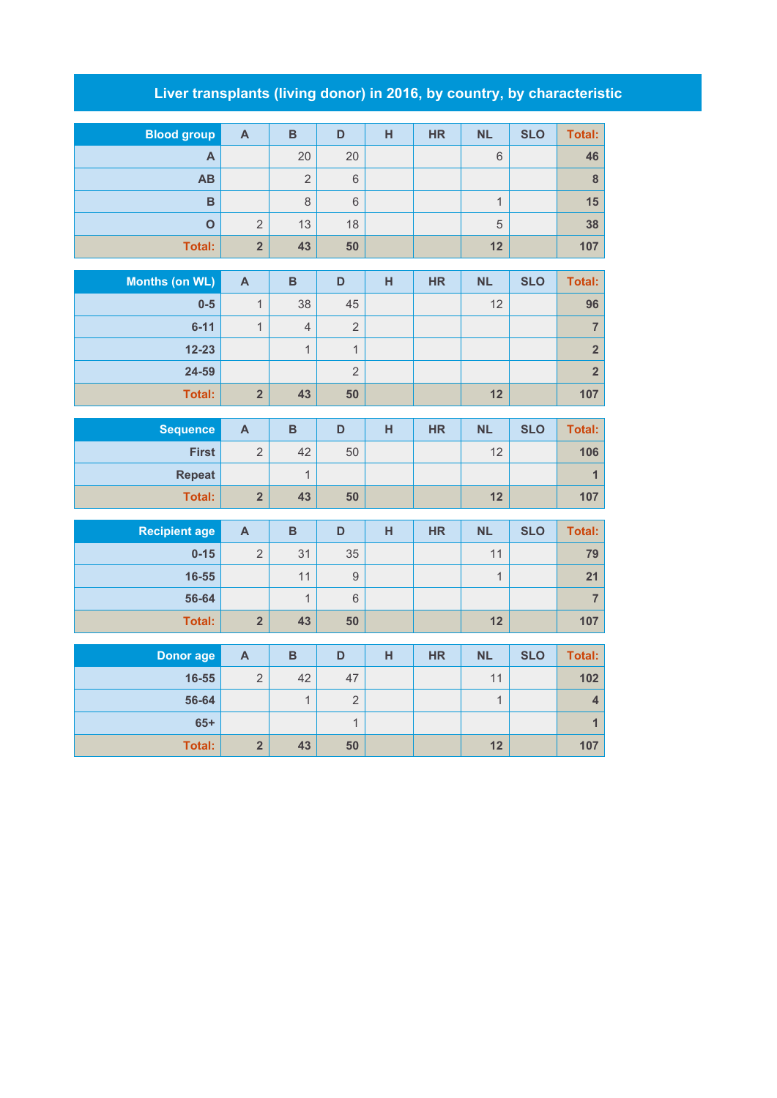## **Liver transplants (living donor) in 2016, by country, by characteristic**

| <b>Blood group</b> | $\mathsf{A}$   | B              | D  | н | <b>HR</b> | <b>NL</b>                  | <b>SLO</b> | Total: |
|--------------------|----------------|----------------|----|---|-----------|----------------------------|------------|--------|
| A                  |                | 20             | 20 |   |           | 6                          |            | 46     |
| AB                 |                | $\overline{2}$ | 6  |   |           |                            |            | 8      |
| B                  |                | 8              | 6  |   |           | $\boldsymbol{\mathcal{A}}$ |            | 15     |
| $\mathbf O$        | $\overline{2}$ | 13             | 18 |   |           | 5                          |            | 38     |
| Total:             | $\overline{2}$ | 43             | 50 |   |           | 12                         |            | 107    |

| Months (on WL) | $\overline{A}$ | B              | D              | н | <b>HR</b> | <b>NL</b> | <b>SLO</b> | Total:         |
|----------------|----------------|----------------|----------------|---|-----------|-----------|------------|----------------|
| $0-5$          |                | 38             | 45             |   |           | 12        |            | 96             |
| $6 - 11$       |                | $\overline{4}$ | $\overline{2}$ |   |           |           |            |                |
| $12 - 23$      |                |                |                |   |           |           |            | 2 <sup>1</sup> |
| 24-59          |                |                | 2              |   |           |           |            | 2 <sup>1</sup> |
| <b>Total:</b>  | $\overline{2}$ | 43             | 50             |   |           | 12        |            | 107            |

| <b>Sequence</b> | A                      | в  | D  | н | <b>HR</b> | <b>NL</b> | <b>SLO</b> | Total: |
|-----------------|------------------------|----|----|---|-----------|-----------|------------|--------|
| <b>First</b>    | $\Omega$<br>∠          | 42 | 50 |   |           | 12        |            | 106    |
| <b>Repeat</b>   |                        |    |    |   |           |           |            |        |
| Total:          | $\mathbf{\Omega}$<br>车 | 43 | 50 |   |           | 12        |            | 107    |

| <b>Recipient age</b> | A              | B  | D  | н | <b>HR</b> | <b>NL</b> | <b>SLO</b> | <b>Total:</b> |
|----------------------|----------------|----|----|---|-----------|-----------|------------|---------------|
| $0 - 15$             | $\Omega$<br>∠  | 31 | 35 |   |           | 11        |            | 79            |
| 16-55                |                | 11 | 9  |   |           | 4         |            | 21            |
| 56-64                |                |    | 6  |   |           |           |            |               |
| <b>Total:</b>        | $\overline{2}$ | 43 | 50 |   |           | 12        |            | 107           |

| Donor age | A              | B  | D        | н | <b>HR</b> | <b>NL</b> | <b>SLO</b> | <b>Total:</b> |
|-----------|----------------|----|----------|---|-----------|-----------|------------|---------------|
| 16-55     | ◠<br>∠         | 42 | 47       |   |           | 11        |            | 102           |
| 56-64     |                |    | $\Omega$ |   |           | и         |            |               |
| $65+$     |                |    |          |   |           |           |            |               |
| Total:    | $\overline{2}$ | 43 | 50       |   |           | 12        |            | 107           |